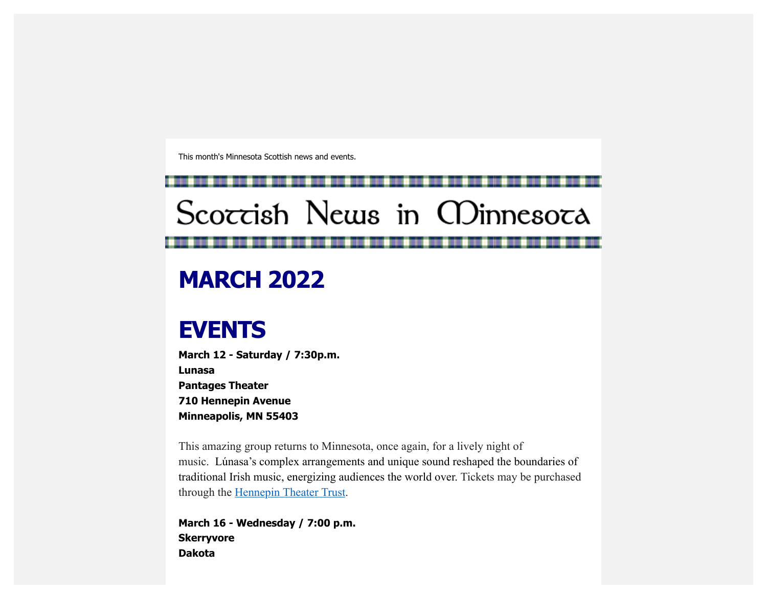This month's Minnesota Scottish news and events.

# Scoccish News in CDinnesoca

## **MARCH 2022**

### **EVENTS**

**March 12 - Saturday / 7:30p.m. Lunasa Pantages Theater 710 Hennepin Avenue Minneapolis, MN 55403**

This amazing group returns to Minnesota, once again, for a lively night of music. Lúnasa's complex arrangements and unique sound reshaped the boundaries of traditional Irish music, energizing audiences the world over. Tickets may be purchased through the [Hennepin Theater Trust.](https://scottishamericancentermn.us10.list-manage.com/track/click?u=2fe4099001736ac4b948473e4&id=236e298a3f&e=6b0ba04b53)

**March 16 - Wednesday / 7:00 p.m. Skerryvore Dakota**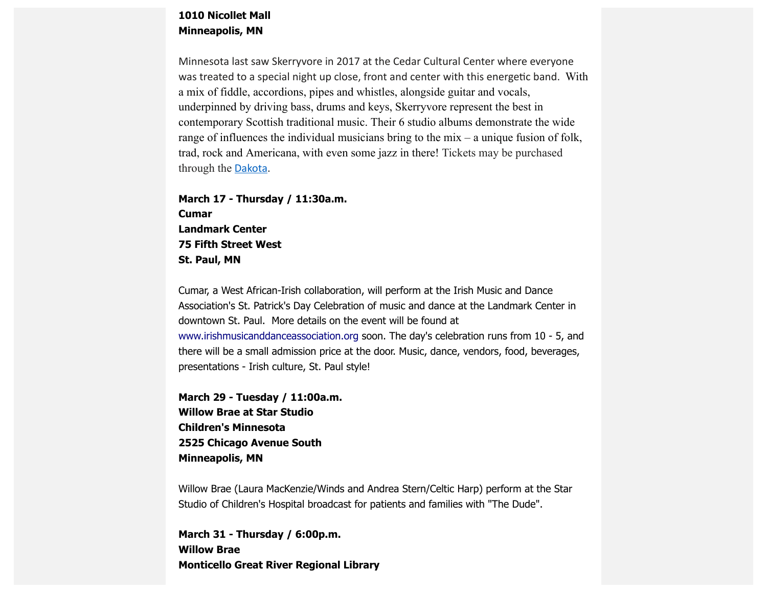#### **1010 Nicollet Mall Minneapolis, MN**

Minnesota last saw Skerryvore in 2017 at the Cedar Cultural Center where everyone was treated to a special night up close, front and center with this energetic band. With a mix of fiddle, accordions, pipes and whistles, alongside guitar and vocals, underpinned by driving bass, drums and keys, Skerryvore represent the best in contemporary Scottish traditional music. Their 6 studio albums demonstrate the wide range of influences the individual musicians bring to the mix – a unique fusion of folk, trad, rock and Americana, with even some jazz in there! Tickets may be purchased through the **[Dakota](https://scottishamericancentermn.us10.list-manage.com/track/click?u=2fe4099001736ac4b948473e4&id=16151e97aa&e=6b0ba04b53)**.

**March 17 - Thursday / 11:30a.m. Cumar Landmark Center 75 Fifth Street West St. Paul, MN** 

Cumar, a West African-Irish collaboration, will perform at the Irish Music and Dance Association's St. Patrick's Day Celebration of music and dance at the Landmark Center in downtown St. Paul. More details on the event will be found at [www.irishmusicanddanceassociation.org](https://scottishamericancentermn.us10.list-manage.com/track/click?u=2fe4099001736ac4b948473e4&id=aa6364b161&e=6b0ba04b53) soon. The day's celebration runs from 10 - 5, and there will be a small admission price at the door. Music, dance, vendors, food, beverages, presentations - Irish culture, St. Paul style!

**March 29 - Tuesday / 11:00a.m. Willow Brae at Star Studio Children's Minnesota 2525 Chicago Avenue South Minneapolis, MN**

Willow Brae (Laura MacKenzie/Winds and Andrea Stern/Celtic Harp) perform at the Star Studio of Children's Hospital broadcast for patients and families with "The Dude".

**March 31 - Thursday / 6:00p.m. Willow Brae Monticello Great River Regional Library**